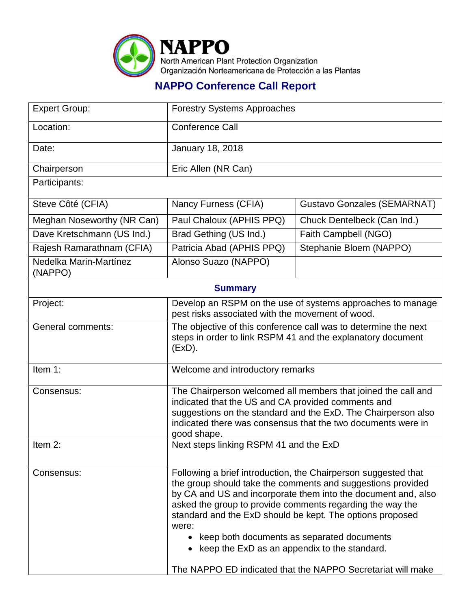

## **NAPPO Conference Call Report**

| <b>Expert Group:</b>              | <b>Forestry Systems Approaches</b>                                                                                                                                                                                                                                                                                                                                                                                                                                                                 |                                    |  |  |
|-----------------------------------|----------------------------------------------------------------------------------------------------------------------------------------------------------------------------------------------------------------------------------------------------------------------------------------------------------------------------------------------------------------------------------------------------------------------------------------------------------------------------------------------------|------------------------------------|--|--|
| Location:                         | <b>Conference Call</b>                                                                                                                                                                                                                                                                                                                                                                                                                                                                             |                                    |  |  |
| Date:                             | <b>January 18, 2018</b>                                                                                                                                                                                                                                                                                                                                                                                                                                                                            |                                    |  |  |
| Chairperson                       | Eric Allen (NR Can)                                                                                                                                                                                                                                                                                                                                                                                                                                                                                |                                    |  |  |
| Participants:                     |                                                                                                                                                                                                                                                                                                                                                                                                                                                                                                    |                                    |  |  |
| Steve Côté (CFIA)                 | Nancy Furness (CFIA)                                                                                                                                                                                                                                                                                                                                                                                                                                                                               | <b>Gustavo Gonzales (SEMARNAT)</b> |  |  |
| Meghan Noseworthy (NR Can)        | Paul Chaloux (APHIS PPQ)                                                                                                                                                                                                                                                                                                                                                                                                                                                                           | Chuck Dentelbeck (Can Ind.)        |  |  |
| Dave Kretschmann (US Ind.)        | Brad Gething (US Ind.)                                                                                                                                                                                                                                                                                                                                                                                                                                                                             | Faith Campbell (NGO)               |  |  |
| Rajesh Ramarathnam (CFIA)         | Patricia Abad (APHIS PPQ)                                                                                                                                                                                                                                                                                                                                                                                                                                                                          | Stephanie Bloem (NAPPO)            |  |  |
| Nedelka Marin-Martínez<br>(NAPPO) | Alonso Suazo (NAPPO)                                                                                                                                                                                                                                                                                                                                                                                                                                                                               |                                    |  |  |
| <b>Summary</b>                    |                                                                                                                                                                                                                                                                                                                                                                                                                                                                                                    |                                    |  |  |
| Project:                          | Develop an RSPM on the use of systems approaches to manage<br>pest risks associated with the movement of wood.                                                                                                                                                                                                                                                                                                                                                                                     |                                    |  |  |
| <b>General comments:</b>          | The objective of this conference call was to determine the next<br>steps in order to link RSPM 41 and the explanatory document<br>(EXD).                                                                                                                                                                                                                                                                                                                                                           |                                    |  |  |
| Item 1:                           | Welcome and introductory remarks                                                                                                                                                                                                                                                                                                                                                                                                                                                                   |                                    |  |  |
| Consensus:                        | The Chairperson welcomed all members that joined the call and<br>indicated that the US and CA provided comments and<br>suggestions on the standard and the ExD. The Chairperson also<br>indicated there was consensus that the two documents were in<br>good shape.                                                                                                                                                                                                                                |                                    |  |  |
| Item 2:                           | Next steps linking RSPM 41 and the ExD                                                                                                                                                                                                                                                                                                                                                                                                                                                             |                                    |  |  |
| Consensus:                        | Following a brief introduction, the Chairperson suggested that<br>the group should take the comments and suggestions provided<br>by CA and US and incorporate them into the document and, also<br>asked the group to provide comments regarding the way the<br>standard and the ExD should be kept. The options proposed<br>were:<br>• keep both documents as separated documents<br>• keep the ExD as an appendix to the standard.<br>The NAPPO ED indicated that the NAPPO Secretariat will make |                                    |  |  |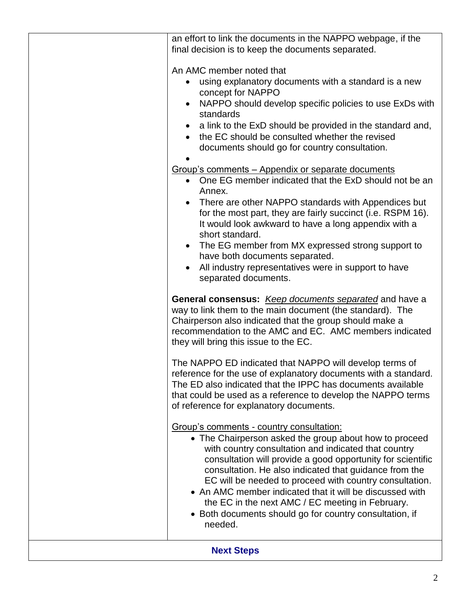| <b>Next Steps</b> |                                                                                                                                                                                                                                                                                                                                                                                                                                                                                                                                                                                                                                                                                                                                                                                                                                                                                        |  |  |
|-------------------|----------------------------------------------------------------------------------------------------------------------------------------------------------------------------------------------------------------------------------------------------------------------------------------------------------------------------------------------------------------------------------------------------------------------------------------------------------------------------------------------------------------------------------------------------------------------------------------------------------------------------------------------------------------------------------------------------------------------------------------------------------------------------------------------------------------------------------------------------------------------------------------|--|--|
|                   | Group's comments - country consultation:<br>• The Chairperson asked the group about how to proceed<br>with country consultation and indicated that country<br>consultation will provide a good opportunity for scientific<br>consultation. He also indicated that guidance from the<br>EC will be needed to proceed with country consultation.<br>• An AMC member indicated that it will be discussed with<br>the EC in the next AMC / EC meeting in February.<br>• Both documents should go for country consultation, if<br>needed.                                                                                                                                                                                                                                                                                                                                                   |  |  |
|                   | The NAPPO ED indicated that NAPPO will develop terms of<br>reference for the use of explanatory documents with a standard.<br>The ED also indicated that the IPPC has documents available<br>that could be used as a reference to develop the NAPPO terms<br>of reference for explanatory documents.                                                                                                                                                                                                                                                                                                                                                                                                                                                                                                                                                                                   |  |  |
|                   | <b>General consensus:</b> Keep documents separated and have a<br>way to link them to the main document (the standard). The<br>Chairperson also indicated that the group should make a<br>recommendation to the AMC and EC. AMC members indicated<br>they will bring this issue to the EC.                                                                                                                                                                                                                                                                                                                                                                                                                                                                                                                                                                                              |  |  |
|                   | An AMC member noted that<br>using explanatory documents with a standard is a new<br>concept for NAPPO<br>NAPPO should develop specific policies to use ExDs with<br>$\bullet$<br>standards<br>a link to the ExD should be provided in the standard and,<br>the EC should be consulted whether the revised<br>documents should go for country consultation.<br>Group's comments - Appendix or separate documents<br>One EG member indicated that the ExD should not be an<br>$\bullet$<br>Annex.<br>There are other NAPPO standards with Appendices but<br>for the most part, they are fairly succinct (i.e. RSPM 16).<br>It would look awkward to have a long appendix with a<br>short standard.<br>• The EG member from MX expressed strong support to<br>have both documents separated.<br>All industry representatives were in support to have<br>$\bullet$<br>separated documents. |  |  |
|                   | an effort to link the documents in the NAPPO webpage, if the<br>final decision is to keep the documents separated.                                                                                                                                                                                                                                                                                                                                                                                                                                                                                                                                                                                                                                                                                                                                                                     |  |  |